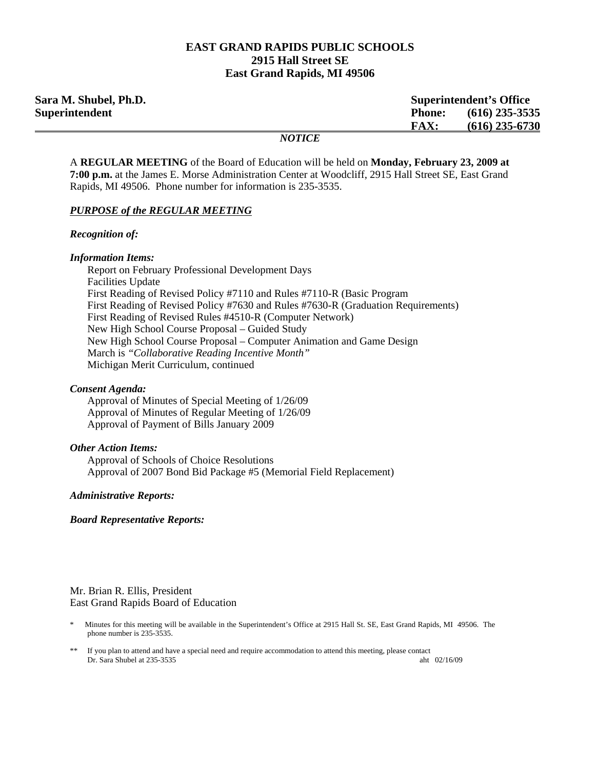### **EAST GRAND RAPIDS PUBLIC SCHOOLS 2915 Hall Street SE East Grand Rapids, MI 49506**

| Sara M. Shubel, Ph.D. |               | <b>Superintendent's Office</b> |  |
|-----------------------|---------------|--------------------------------|--|
| Superintendent        | <b>Phone:</b> | $(616)$ 235-3535               |  |
|                       | <b>FAX:</b>   | $(616)$ 235-6730               |  |
|                       | <i>NOTICE</i> |                                |  |

A **REGULAR MEETING** of the Board of Education will be held on **Monday, February 23, 2009 at 7:00 p.m.** at the James E. Morse Administration Center at Woodcliff, 2915 Hall Street SE, East Grand Rapids, MI 49506. Phone number for information is 235-3535.

#### *PURPOSE of the REGULAR MEETING*

#### *Recognition of:*

#### *Information Items:*

 Report on February Professional Development Days Facilities Update First Reading of Revised Policy #7110 and Rules #7110-R (Basic Program First Reading of Revised Policy #7630 and Rules #7630-R (Graduation Requirements) First Reading of Revised Rules #4510-R (Computer Network) New High School Course Proposal – Guided Study New High School Course Proposal – Computer Animation and Game Design March is *"Collaborative Reading Incentive Month"*  Michigan Merit Curriculum, continued

#### *Consent Agenda:*

 Approval of Minutes of Special Meeting of 1/26/09 Approval of Minutes of Regular Meeting of 1/26/09 Approval of Payment of Bills January 2009

#### *Other Action Items:*

 Approval of Schools of Choice Resolutions Approval of 2007 Bond Bid Package #5 (Memorial Field Replacement)

### *Administrative Reports:*

#### *Board Representative Reports:*

Mr. Brian R. Ellis, President East Grand Rapids Board of Education

- \* Minutes for this meeting will be available in the Superintendent's Office at 2915 Hall St. SE, East Grand Rapids, MI 49506. The phone number is 235-3535.
- If you plan to attend and have a special need and require accommodation to attend this meeting, please contact<br>Dr. Sara Shubel at 235-3535 Dr. Sara Shubel at 235-3535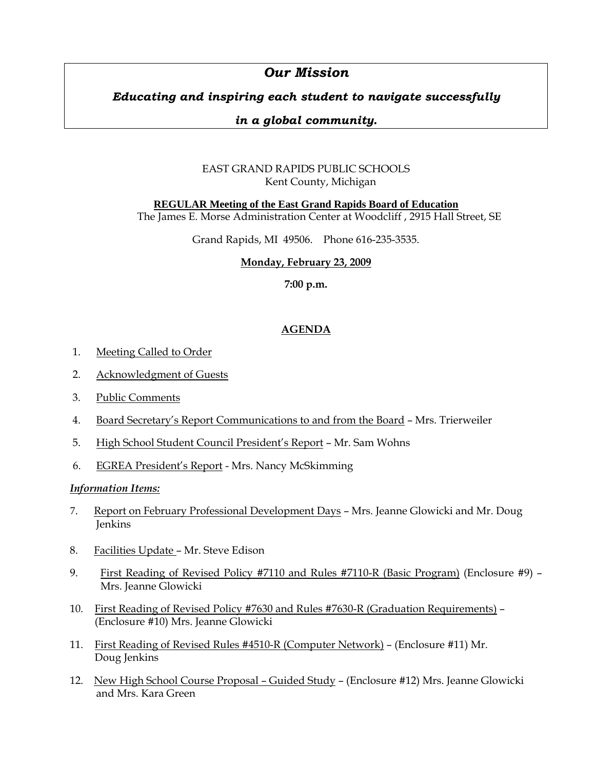# *Our Mission*

## *Educating and inspiring each student to navigate successfully*

## *in a global community.*

## EAST GRAND RAPIDS PUBLIC SCHOOLS Kent County, Michigan

## **REGULAR Meeting of the East Grand Rapids Board of Education**

The James E. Morse Administration Center at Woodcliff , 2915 Hall Street, SE

Grand Rapids, MI 49506. Phone 616-235-3535.

## **Monday, February 23, 2009**

**7:00 p.m.**

## **AGENDA**

- 1. Meeting Called to Order
- 2. Acknowledgment of Guests
- 3. Public Comments
- 4. Board Secretary's Report Communications to and from the Board Mrs. Trierweiler
- 5. High School Student Council President's Report Mr. Sam Wohns
- 6. EGREA President's Report Mrs. Nancy McSkimming

### *Information Items:*

- 7. Report on February Professional Development Days Mrs. Jeanne Glowicki and Mr. Doug Jenkins
- 8. Facilities Update Mr. Steve Edison
- 9. First Reading of Revised Policy #7110 and Rules #7110-R (Basic Program) (Enclosure #9) Mrs. Jeanne Glowicki
- 10. First Reading of Revised Policy #7630 and Rules #7630-R (Graduation Requirements) (Enclosure #10) Mrs. Jeanne Glowicki
- 11. First Reading of Revised Rules #4510-R (Computer Network) (Enclosure #11) Mr. Doug Jenkins
- 12. New High School Course Proposal Guided Study (Enclosure #12) Mrs. Jeanne Glowicki and Mrs. Kara Green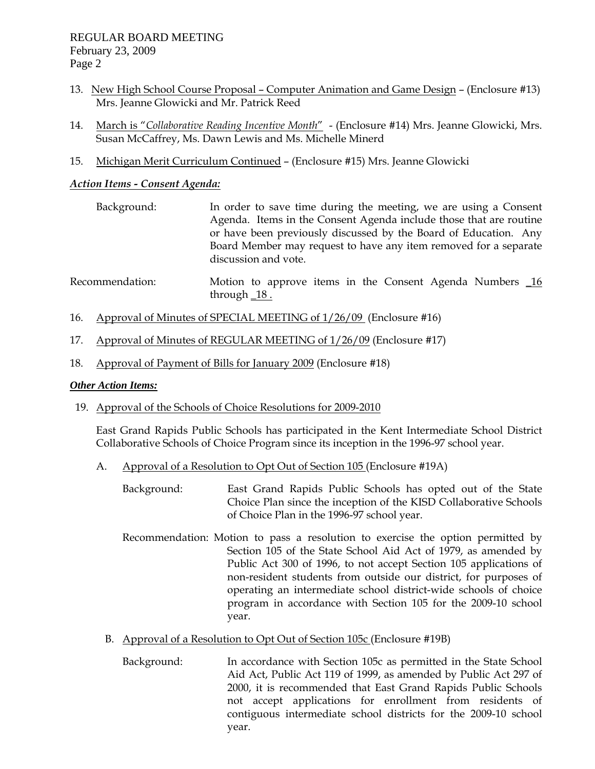- 13. New High School Course Proposal Computer Animation and Game Design (Enclosure #13) Mrs. Jeanne Glowicki and Mr. Patrick Reed
- 14. March is "*Collaborative Reading Incentive Month*" (Enclosure #14) Mrs. Jeanne Glowicki, Mrs. Susan McCaffrey, Ms. Dawn Lewis and Ms. Michelle Minerd
- 15. Michigan Merit Curriculum Continued (Enclosure #15) Mrs. Jeanne Glowicki

### *Action Items - Consent Agenda:*

- Background: In order to save time during the meeting, we are using a Consent Agenda. Items in the Consent Agenda include those that are routine or have been previously discussed by the Board of Education. Any Board Member may request to have any item removed for a separate discussion and vote.
- Recommendation: Motion to approve items in the Consent Agenda Numbers 16 through  $18$ .
- 16. Approval of Minutes of SPECIAL MEETING of 1/26/09 (Enclosure #16)
- 17. Approval of Minutes of REGULAR MEETING of 1/26/09 (Enclosure #17)
- 18. Approval of Payment of Bills for January 2009 (Enclosure #18)

### *Other Action Items:*

19. Approval of the Schools of Choice Resolutions for 2009-2010

 East Grand Rapids Public Schools has participated in the Kent Intermediate School District Collaborative Schools of Choice Program since its inception in the 1996-97 school year.

- A. Approval of a Resolution to Opt Out of Section 105 (Enclosure #19A)
	- Background: East Grand Rapids Public Schools has opted out of the State Choice Plan since the inception of the KISD Collaborative Schools of Choice Plan in the 1996-97 school year.
	- Recommendation: Motion to pass a resolution to exercise the option permitted by Section 105 of the State School Aid Act of 1979, as amended by Public Act 300 of 1996, to not accept Section 105 applications of non-resident students from outside our district, for purposes of operating an intermediate school district-wide schools of choice program in accordance with Section 105 for the 2009-10 school year.
	- B. Approval of a Resolution to Opt Out of Section 105c (Enclosure #19B)
		- Background: In accordance with Section 105c as permitted in the State School Aid Act, Public Act 119 of 1999, as amended by Public Act 297 of 2000, it is recommended that East Grand Rapids Public Schools not accept applications for enrollment from residents of contiguous intermediate school districts for the 2009-10 school year.